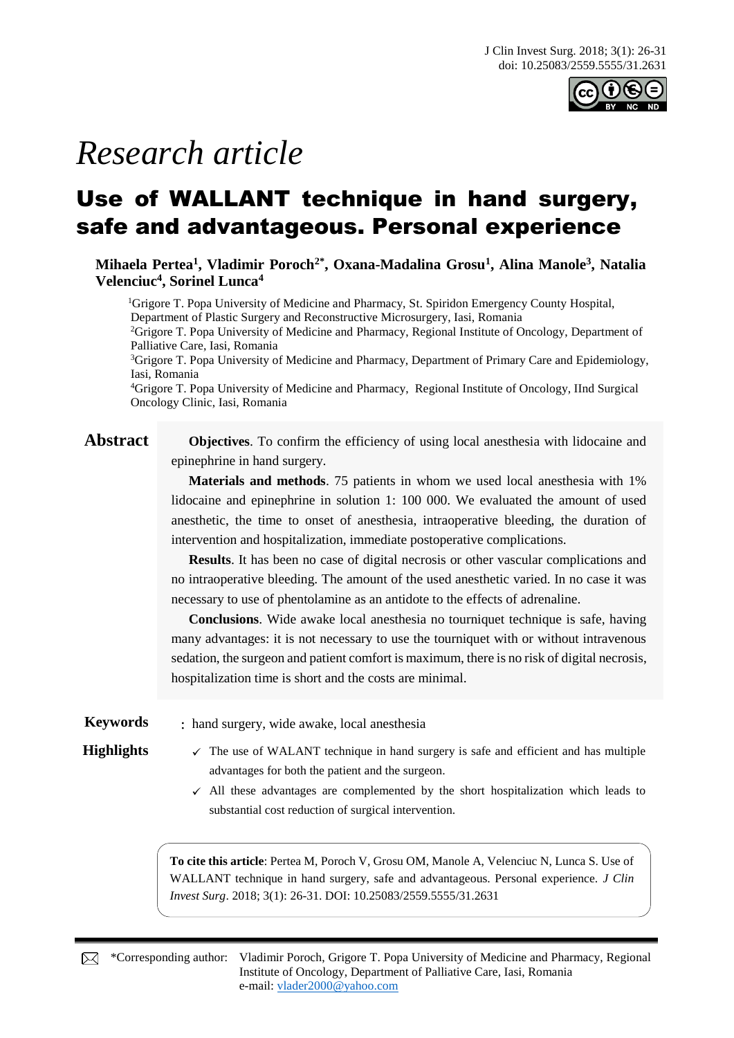

# *Research article*

## Use of WALLANT technique in hand surgery, safe and advantageous. Personal experience

**Mihaela Pertea<sup>1</sup> , Vladimir Poroch2\* , Oxana-Madalina Grosu<sup>1</sup> , Alina Manole<sup>3</sup> , Natalia Velenciuc<sup>4</sup> , Sorinel Lunca<sup>4</sup>**

<sup>1</sup>Grigore T. Popa University of Medicine and Pharmacy, St. Spiridon Emergency County Hospital, Department of Plastic Surgery and Reconstructive Microsurgery, Iasi, Romania

<sup>2</sup>Grigore T. Popa University of Medicine and Pharmacy, Regional Institute of Oncology, Department of Palliative Care, Iasi, Romania

<sup>3</sup>Grigore T. Popa University of Medicine and Pharmacy, Department of Primary Care and Epidemiology, Iasi, Romania

<sup>4</sup>Grigore T. Popa University of Medicine and Pharmacy, Regional Institute of Oncology, IInd Surgical Oncology Clinic, Iasi, Romania

**Abstract Objectives**. To confirm the efficiency of using local anesthesia with lidocaine and epinephrine in hand surgery.

> **Materials and methods**. 75 patients in whom we used local anesthesia with 1% lidocaine and epinephrine in solution 1: 100 000. We evaluated the amount of used anesthetic, the time to onset of anesthesia, intraoperative bleeding, the duration of intervention and hospitalization, immediate postoperative complications.

> **Results**. It has been no case of digital necrosis or other vascular complications and no intraoperative bleeding. The amount of the used anesthetic varied. In no case it was necessary to use of phentolamine as an antidote to the effects of adrenaline.

> **Conclusions**. Wide awake local anesthesia no tourniquet technique is safe, having many advantages: it is not necessary to use the tourniquet with or without intravenous sedation, the surgeon and patient comfort is maximum, there is no risk of digital necrosis, hospitalization time is short and the costs are minimal.

**Keywords** : hand surgery, wide awake, local anesthesia

- **Highlights**  $\checkmark$  The use of WALANT technique in hand surgery is safe and efficient and has multiple advantages for both the patient and the surgeon.
	- $\checkmark$  All these advantages are complemented by the short hospitalization which leads to substantial cost reduction of surgical intervention.

**To cite this article**: Pertea M, Poroch V, Grosu OM, Manole A, Velenciuc N, Lunca S. Use of WALLANT technique in hand surgery, safe and advantageous. Personal experience. *J Clin Invest Surg*. 2018; 3(1): 26-31. DOI: 10.25083/2559.5555/31.2631

\*Corresponding author: Vladimir Poroch, Grigore T. Popa University of Medicine and Pharmacy, Regional Institute of Oncology, Department of Palliative Care, Iasi, Romania e-mail: [vlader2000@yahoo.com](mailto:vlader2000@yahoo.com)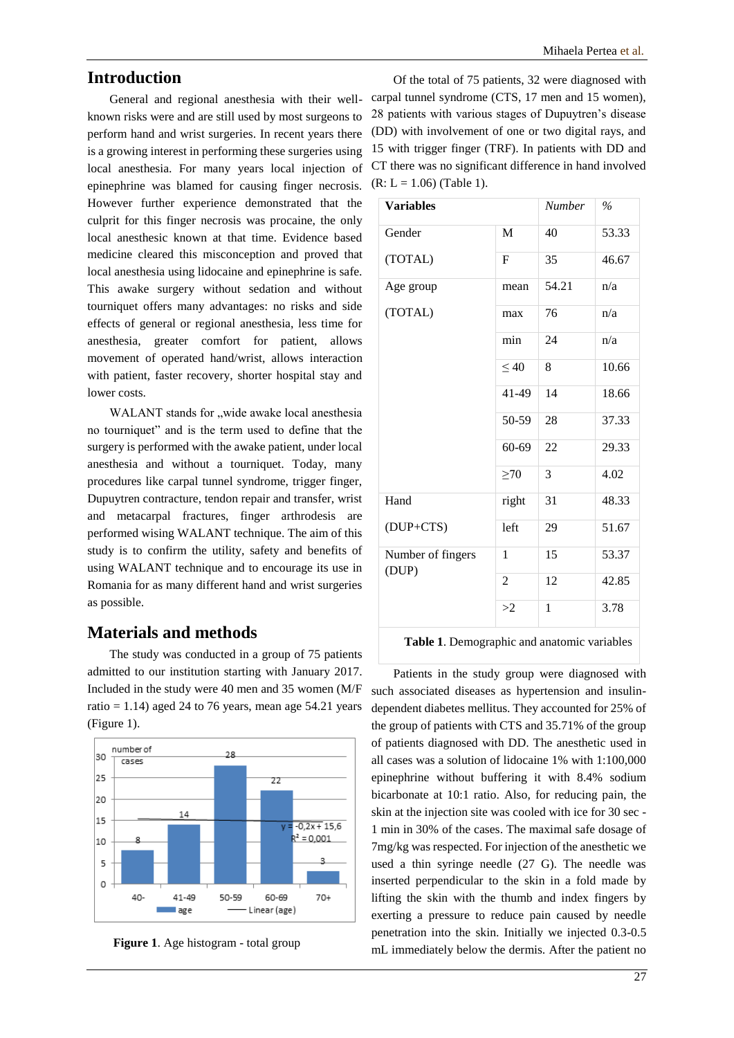### **Introduction**

General and regional anesthesia with their wellknown risks were and are still used by most surgeons to perform hand and wrist surgeries. In recent years there is a growing interest in performing these surgeries using local anesthesia. For many years local injection of epinephrine was blamed for causing finger necrosis. However further experience demonstrated that the culprit for this finger necrosis was procaine, the only local anesthesic known at that time. Evidence based medicine cleared this misconception and proved that local anesthesia using lidocaine and epinephrine is safe. This awake surgery without sedation and without tourniquet offers many advantages: no risks and side effects of general or regional anesthesia, less time for anesthesia, greater comfort for patient, allows movement of operated hand/wrist, allows interaction with patient, faster recovery, shorter hospital stay and lower costs.

WALANT stands for "wide awake local anesthesia no tourniquet" and is the term used to define that the surgery is performed with the awake patient, under local anesthesia and without a tourniquet. Today, many procedures like carpal tunnel syndrome, trigger finger, Dupuytren contracture, tendon repair and transfer, wrist and metacarpal fractures, finger arthrodesis are performed wising WALANT technique. The aim of this study is to confirm the utility, safety and benefits of using WALANT technique and to encourage its use in Romania for as many different hand and wrist surgeries as possible.

### **Materials and methods**

The study was conducted in a group of 75 patients admitted to our institution starting with January 2017. Included in the study were 40 men and 35 women (M/F ratio = 1.14) aged 24 to 76 years, mean age 54.21 years (Figure 1).



**Figure 1**. Age histogram - total group

Of the total of 75 patients, 32 were diagnosed with carpal tunnel syndrome (CTS, 17 men and 15 women), 28 patients with various stages of Dupuytren's disease (DD) with involvement of one or two digital rays, and 15 with trigger finger (TRF). In patients with DD and CT there was no significant difference in hand involved  $(R: L = 1.06)$  (Table 1).

| <b>Variables</b>           |                | <b>Number</b> | $\%$  |
|----------------------------|----------------|---------------|-------|
| Gender                     | M              | 40            | 53.33 |
| (TOTAL)                    | F              | 35            | 46.67 |
| Age group                  | mean           | 54.21         | n/a   |
| (TOTAL)                    | max            | 76            | n/a   |
|                            | min            | 24            | n/a   |
|                            | $\leq 40$      | 8             | 10.66 |
|                            | 41-49          | 14            | 18.66 |
|                            | 50-59          | 28            | 37.33 |
|                            | 60-69          | 22            | 29.33 |
|                            | $\geq 70$      | 3             | 4.02  |
| Hand                       | right          | 31            | 48.33 |
| (DUP+CTS)                  | left           | 29            | 51.67 |
| Number of fingers<br>(DUP) | 1              | 15            | 53.37 |
|                            | $\overline{c}$ | 12            | 42.85 |
|                            | >2             | $\mathbf{1}$  | 3.78  |

**Table 1**. Demographic and anatomic variables

Patients in the study group were diagnosed with such associated diseases as hypertension and insulindependent diabetes mellitus. They accounted for 25% of the group of patients with CTS and 35.71% of the group of patients diagnosed with DD. The anesthetic used in all cases was a solution of lidocaine 1% with 1:100,000 epinephrine without buffering it with 8.4% sodium bicarbonate at 10:1 ratio. Also, for reducing pain, the skin at the injection site was cooled with ice for 30 sec - 1 min in 30% of the cases. The maximal safe dosage of 7mg/kg was respected. For injection of the anesthetic we used a thin syringe needle (27 G). The needle was inserted perpendicular to the skin in a fold made by lifting the skin with the thumb and index fingers by exerting a pressure to reduce pain caused by needle penetration into the skin. Initially we injected 0.3-0.5 mL immediately below the dermis. After the patient no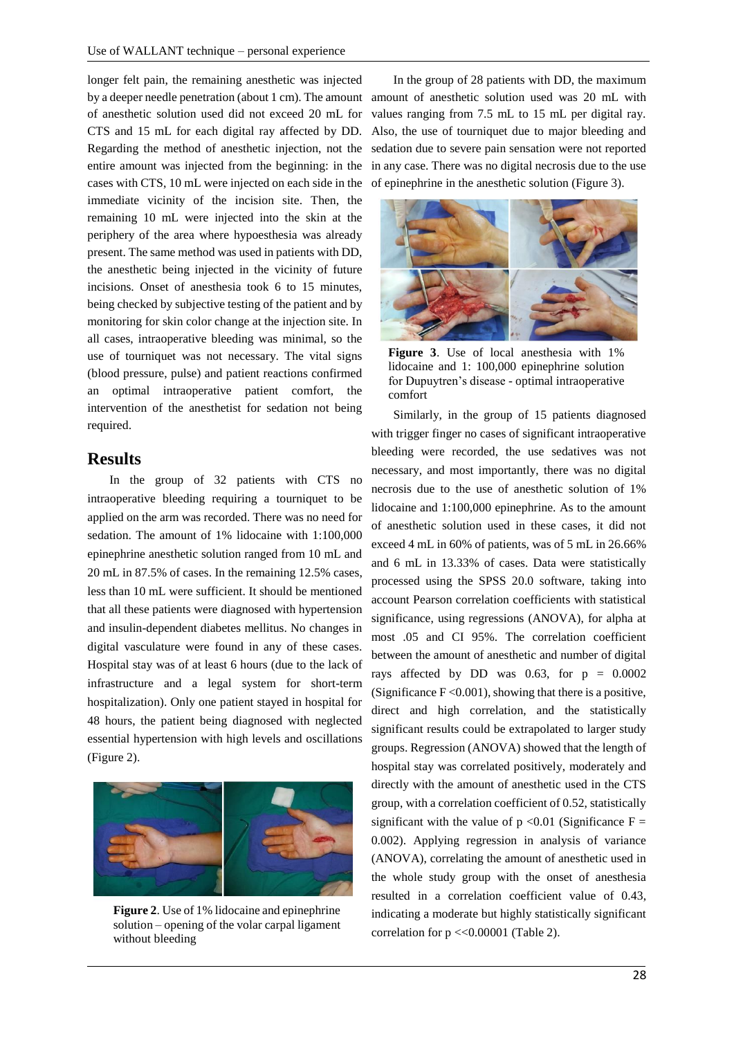longer felt pain, the remaining anesthetic was injected by a deeper needle penetration (about 1 cm). The amount of anesthetic solution used did not exceed 20 mL for CTS and 15 mL for each digital ray affected by DD. Regarding the method of anesthetic injection, not the entire amount was injected from the beginning: in the cases with CTS, 10 mL were injected on each side in the immediate vicinity of the incision site. Then, the remaining 10 mL were injected into the skin at the periphery of the area where hypoesthesia was already present. The same method was used in patients with DD, the anesthetic being injected in the vicinity of future incisions. Onset of anesthesia took 6 to 15 minutes, being checked by subjective testing of the patient and by monitoring for skin color change at the injection site. In all cases, intraoperative bleeding was minimal, so the use of tourniquet was not necessary. The vital signs (blood pressure, pulse) and patient reactions confirmed an optimal intraoperative patient comfort, the intervention of the anesthetist for sedation not being required.

#### **Results**

In the group of 32 patients with CTS no intraoperative bleeding requiring a tourniquet to be applied on the arm was recorded. There was no need for sedation. The amount of 1% lidocaine with 1:100,000 epinephrine anesthetic solution ranged from 10 mL and 20 mL in 87.5% of cases. In the remaining 12.5% cases, less than 10 mL were sufficient. It should be mentioned that all these patients were diagnosed with hypertension and insulin-dependent diabetes mellitus. No changes in digital vasculature were found in any of these cases. Hospital stay was of at least 6 hours (due to the lack of infrastructure and a legal system for short-term hospitalization). Only one patient stayed in hospital for 48 hours, the patient being diagnosed with neglected essential hypertension with high levels and oscillations (Figure 2).



**Figure 2**. Use of 1% lidocaine and epinephrine solution – opening of the volar carpal ligament without bleeding

In the group of 28 patients with DD, the maximum amount of anesthetic solution used was 20 mL with values ranging from 7.5 mL to 15 mL per digital ray. Also, the use of tourniquet due to major bleeding and sedation due to severe pain sensation were not reported in any case. There was no digital necrosis due to the use of epinephrine in the anesthetic solution (Figure 3).



**Figure 3**. Use of local anesthesia with 1% lidocaine and 1: 100,000 epinephrine solution for Dupuytren's disease - optimal intraoperative comfort

Similarly, in the group of 15 patients diagnosed with trigger finger no cases of significant intraoperative bleeding were recorded, the use sedatives was not necessary, and most importantly, there was no digital necrosis due to the use of anesthetic solution of 1% lidocaine and 1:100,000 epinephrine. As to the amount of anesthetic solution used in these cases, it did not exceed 4 mL in 60% of patients, was of 5 mL in 26.66% and 6 mL in 13.33% of cases. Data were statistically processed using the SPSS 20.0 software, taking into account Pearson correlation coefficients with statistical significance, using regressions (ANOVA), for alpha at most .05 and CI 95%. The correlation coefficient between the amount of anesthetic and number of digital rays affected by DD was 0.63, for  $p = 0.0002$ (Significance  $F \leq 0.001$ ), showing that there is a positive, direct and high correlation, and the statistically significant results could be extrapolated to larger study groups. Regression (ANOVA) showed that the length of hospital stay was correlated positively, moderately and directly with the amount of anesthetic used in the CTS group, with a correlation coefficient of 0.52, statistically significant with the value of  $p \le 0.01$  (Significance F = 0.002). Applying regression in analysis of variance (ANOVA), correlating the amount of anesthetic used in the whole study group with the onset of anesthesia resulted in a correlation coefficient value of 0.43, indicating a moderate but highly statistically significant correlation for  $p \ll 0.00001$  (Table 2).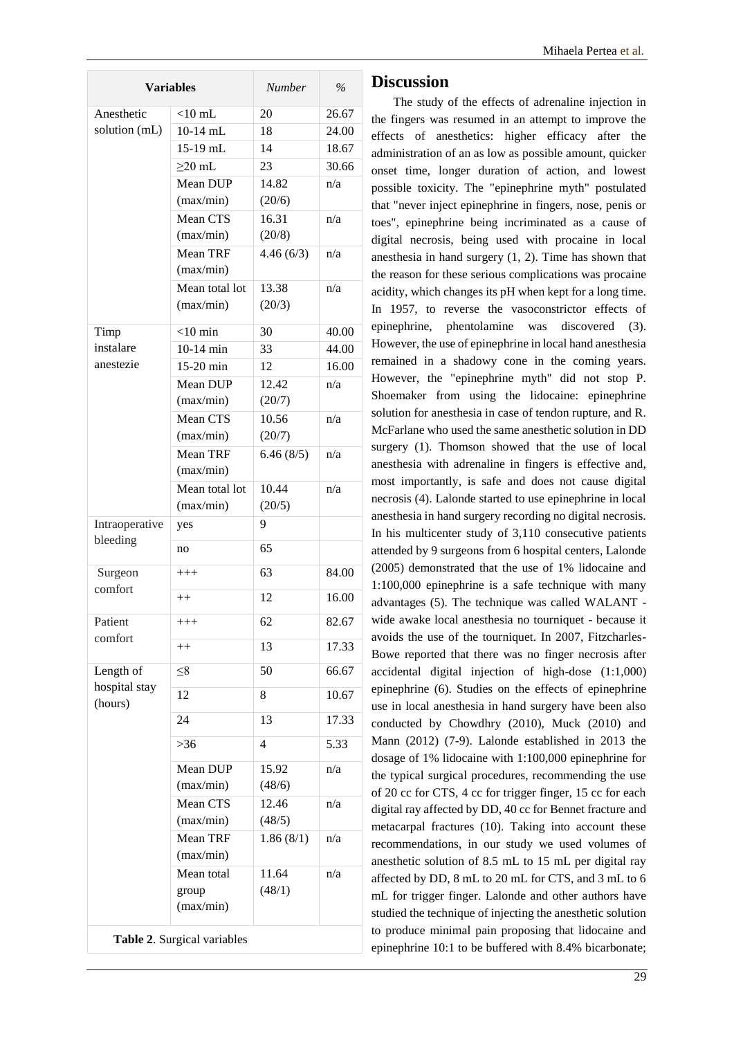| <b>Variables</b>                      |                    | <b>Number</b>  | $\frac{0}{0}$ |  |
|---------------------------------------|--------------------|----------------|---------------|--|
| Anesthetic                            | $<$ 10 mL          | 20             | 26.67         |  |
| solution (mL)                         | $10-14$ mL         | 18             | 24.00         |  |
|                                       | 15-19 mL           | 14             | 18.67         |  |
|                                       | $\geq$ 20 mL       | 23             | 30.66         |  |
|                                       | Mean DUP           | 14.82          | n/a           |  |
|                                       | (max/min)          | (20/6)         |               |  |
|                                       | Mean CTS           | 16.31          | n/a           |  |
|                                       | (max/min)          | (20/8)         |               |  |
|                                       | Mean TRF           | 4.46(6/3)      | n/a           |  |
|                                       | (max/min)          |                |               |  |
|                                       | Mean total lot     | 13.38          | n/a           |  |
|                                       | (max/min)          | (20/3)         |               |  |
| Timp                                  | $<$ 10 min         | 30             | 40.00         |  |
| instalare                             | $10-14$ min        | 33             | 44.00         |  |
| anestezie                             | $15-20$ min        | 12             | 16.00         |  |
|                                       | Mean DUP           | 12.42          | n/a           |  |
|                                       | (max/min)          | (20/7)         |               |  |
|                                       | Mean CTS           | 10.56          | n/a           |  |
|                                       | (max/min)          | (20/7)         |               |  |
|                                       | Mean TRF           | 6.46(8/5)      | n/a           |  |
|                                       | (max/min)          |                |               |  |
|                                       | Mean total lot     | 10.44          | n/a           |  |
|                                       | (max/min)          | (20/5)         |               |  |
| Intraoperative<br>bleeding            | yes                | 9              |               |  |
|                                       | no                 | 65             |               |  |
| Surgeon<br>comfort                    | $+++$              | 63             | 84.00         |  |
|                                       | $++$               | 12             | 16.00         |  |
| Patient<br>comfort                    | $^{+++}$           | 62             | 82.67         |  |
|                                       | $++$               | 13             | 17.33         |  |
| Length of<br>hospital stay<br>(hours) | $\leq 8$           | 50             | 66.67         |  |
|                                       | 12                 | 8              | 10.67         |  |
|                                       | 24                 | 13             | 17.33         |  |
|                                       | $>36$              | $\overline{4}$ | 5.33          |  |
|                                       | Mean DUP           | 15.92          | n/a           |  |
|                                       | (max/min)          | (48/6)         |               |  |
|                                       | Mean CTS           | 12.46          | n/a           |  |
|                                       | (max/min)          | (48/5)         |               |  |
|                                       | Mean TRF           | 1.86(8/1)      | n/a           |  |
|                                       | (max/min)          |                |               |  |
|                                       | Mean total         | 11.64          | n/a           |  |
|                                       | group<br>(max/min) | (48/1)         |               |  |
| Table 2. Surgical variables           |                    |                |               |  |

#### **Discussion**

The study of the effects of adrenaline injection in the fingers was resumed in an attempt to improve the effects of anesthetics: higher efficacy after the administration of an as low as possible amount, quicker onset time, longer duration of action, and lowest possible toxicity. The "epinephrine myth" postulated that "never inject epinephrine in fingers, nose, penis or toes", epinephrine being incriminated as a cause of digital necrosis, being used with procaine in local anesthesia in hand surgery (1, 2). Time has shown that the reason for these serious complications was procaine acidity, which changes its pH when kept for a long time. In 1957, to reverse the vasoconstrictor effects of epinephrine, phentolamine was discovered (3). However, the use of epinephrine in local hand anesthesia remained in a shadowy cone in the coming years. However, the "epinephrine myth" did not stop P. Shoemaker from using the lidocaine: epinephrine solution for anesthesia in case of tendon rupture, and R. McFarlane who used the same anesthetic solution in DD surgery (1). Thomson showed that the use of local anesthesia with adrenaline in fingers is effective and, most importantly, is safe and does not cause digital necrosis (4). Lalonde started to use epinephrine in local anesthesia in hand surgery recording no digital necrosis. In his multicenter study of 3,110 consecutive patients attended by 9 surgeons from 6 hospital centers, Lalonde (2005) demonstrated that the use of 1% lidocaine and 1:100,000 epinephrine is a safe technique with many advantages (5). The technique was called WALANT wide awake local anesthesia no tourniquet - because it avoids the use of the tourniquet. In 2007, Fitzcharles-Bowe reported that there was no finger necrosis after accidental digital injection of high-dose (1:1,000) epinephrine (6). Studies on the effects of epinephrine use in local anesthesia in hand surgery have been also conducted by Chowdhry (2010), Muck (2010) and Mann (2012) (7-9). Lalonde established in 2013 the dosage of 1% lidocaine with 1:100,000 epinephrine for the typical surgical procedures, recommending the use of 20 cc for CTS, 4 cc for trigger finger, 15 cc for each digital ray affected by DD, 40 cc for Bennet fracture and metacarpal fractures (10). Taking into account these recommendations, in our study we used volumes of anesthetic solution of 8.5 mL to 15 mL per digital ray affected by DD, 8 mL to 20 mL for CTS, and 3 mL to 6 mL for trigger finger. Lalonde and other authors have studied the technique of injecting the anesthetic solution to produce minimal pain proposing that lidocaine and epinephrine 10:1 to be buffered with 8.4% bicarbonate;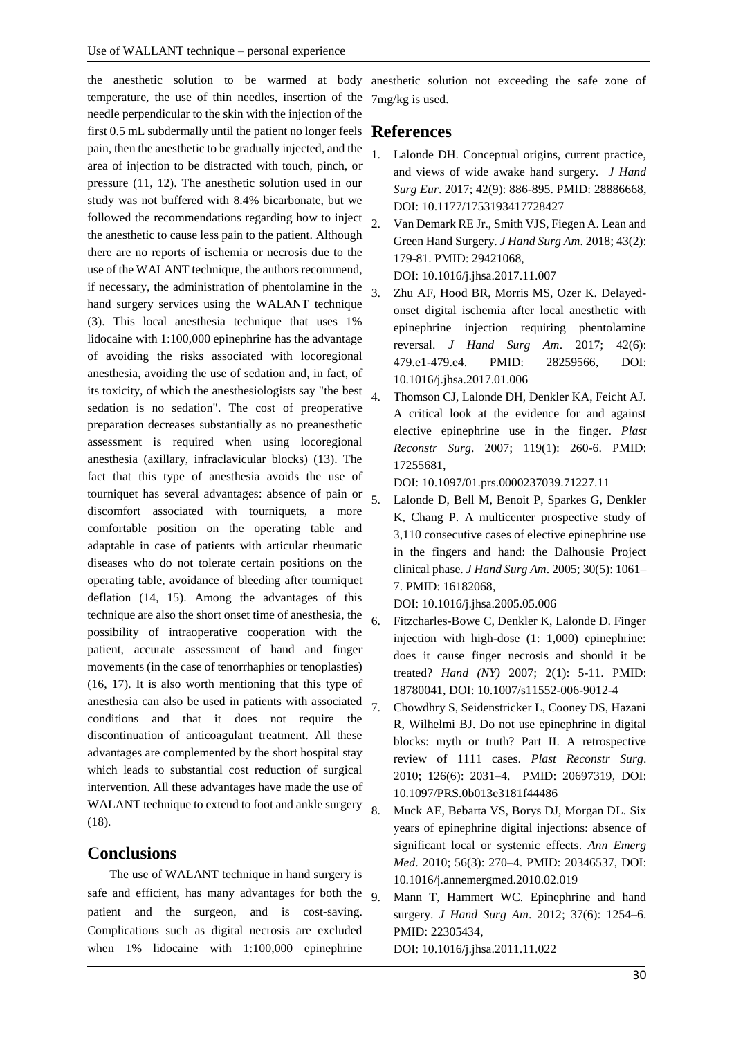the anesthetic solution to be warmed at body anesthetic solution not exceeding the safe zone of temperature, the use of thin needles, insertion of the needle perpendicular to the skin with the injection of the first 0.5 mL subdermally until the patient no longer feels **References** pain, then the anesthetic to be gradually injected, and the area of injection to be distracted with touch, pinch, or pressure (11, 12). The anesthetic solution used in our study was not buffered with 8.4% bicarbonate, but we followed the recommendations regarding how to inject the anesthetic to cause less pain to the patient. Although there are no reports of ischemia or necrosis due to the use of the WALANT technique, the authors recommend, if necessary, the administration of phentolamine in the hand surgery services using the WALANT technique (3). This local anesthesia technique that uses 1% lidocaine with 1:100,000 epinephrine has the advantage of avoiding the risks associated with locoregional anesthesia, avoiding the use of sedation and, in fact, of its toxicity, of which the anesthesiologists say "the best  $\overline{A}$ sedation is no sedation". The cost of preoperative preparation decreases substantially as no preanesthetic assessment is required when using locoregional anesthesia (axillary, infraclavicular blocks) (13). The fact that this type of anesthesia avoids the use of tourniquet has several advantages: absence of pain or discomfort associated with tourniquets, a more comfortable position on the operating table and adaptable in case of patients with articular rheumatic diseases who do not tolerate certain positions on the operating table, avoidance of bleeding after tourniquet deflation (14, 15). Among the advantages of this technique are also the short onset time of anesthesia, the possibility of intraoperative cooperation with the patient, accurate assessment of hand and finger movements (in the case of tenorrhaphies or tenoplasties) (16, 17). It is also worth mentioning that this type of anesthesia can also be used in patients with associated conditions and that it does not require the discontinuation of anticoagulant treatment. All these advantages are complemented by the short hospital stay which leads to substantial cost reduction of surgical intervention. All these advantages have made the use of WALANT technique to extend to foot and ankle surgery 8 (18).

### **Conclusions**

The use of WALANT technique in hand surgery is safe and efficient, has many advantages for both the 9 patient and the surgeon, and is cost-saving. Complications such as digital necrosis are excluded when 1% lidocaine with 1:100,000 epinephrine

7mg/kg is used.

- Lalonde DH. Conceptual origins, current practice, and views of wide awake hand surgery. *J Hand Surg Eur*. 2017; 42(9): 886-895. PMID: 28886668, DOI: 10.1177/1753193417728427
- 2. Van Demark RE Jr., Smith VJS, Fiegen A. Lean and Green Hand Surgery. *J Hand Surg Am*. 2018; 43(2): 179-81. PMID: 29421068,

DOI: 10.1016/j.jhsa.2017.11.007

- 3. Zhu AF, Hood BR, Morris MS, Ozer K. Delayedonset digital ischemia after local anesthetic with epinephrine injection requiring phentolamine reversal. *J Hand Surg Am*. 2017; 42(6): 479.e1-479.e4. PMID: 28259566, DOI: 10.1016/j.jhsa.2017.01.006
- 4. Thomson CJ, Lalonde DH, Denkler KA, Feicht AJ. A critical look at the evidence for and against elective epinephrine use in the finger. *Plast Reconstr Surg*. 2007; 119(1): 260-6. PMID: 17255681,

DOI: 10.1097/01.prs.0000237039.71227.11

5. Lalonde D, Bell M, Benoit P, Sparkes G, Denkler K, Chang P. A multicenter prospective study of 3,110 consecutive cases of elective epinephrine use in the fingers and hand: the Dalhousie Project clinical phase. *J Hand Surg Am*. 2005; 30(5): 1061– 7. PMID: 16182068,

DOI: 10.1016/j.jhsa.2005.05.006

- 6. Fitzcharles-Bowe C, Denkler K, Lalonde D. Finger injection with high-dose (1: 1,000) epinephrine: does it cause finger necrosis and should it be treated? *Hand (NY)* 2007; 2(1): 5-11. PMID: 18780041, DOI: 10.1007/s11552-006-9012-4
- 7. Chowdhry S, Seidenstricker L, Cooney DS, Hazani R, Wilhelmi BJ. Do not use epinephrine in digital blocks: myth or truth? Part II. A retrospective review of 1111 cases. *Plast Reconstr Surg*. 2010; 126(6): 2031–4. PMID: 20697319, DOI: 10.1097/PRS.0b013e3181f44486
- 8. Muck AE, Bebarta VS, Borys DJ, Morgan DL. Six years of epinephrine digital injections: absence of significant local or systemic effects. *Ann Emerg Med*. 2010; 56(3): 270–4. PMID: 20346537, DOI: 10.1016/j.annemergmed.2010.02.019
- Mann T, Hammert WC. Epinephrine and hand surgery. *J Hand Surg Am*. 2012; 37(6): 1254–6. PMID: 22305434,

DOI: 10.1016/j.jhsa.2011.11.022